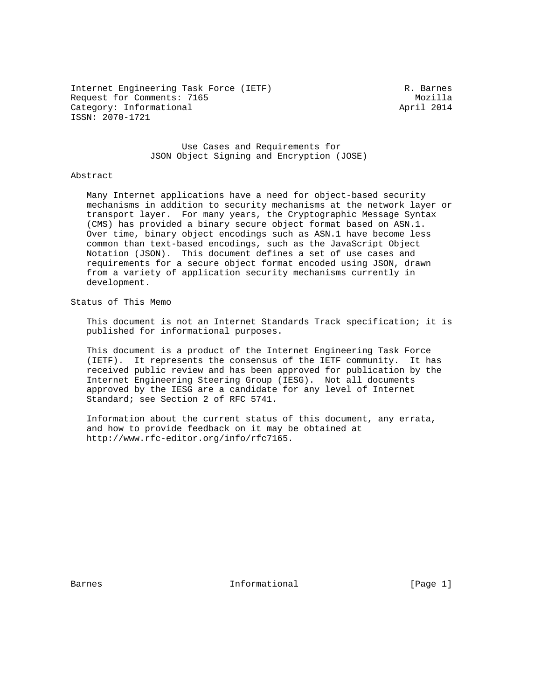Internet Engineering Task Force (IETF) R. Barnes Request for Comments: 7165 Mozilla Category: Informational and April 2014 ISSN: 2070-1721

 Use Cases and Requirements for JSON Object Signing and Encryption (JOSE)

#### Abstract

 Many Internet applications have a need for object-based security mechanisms in addition to security mechanisms at the network layer or transport layer. For many years, the Cryptographic Message Syntax (CMS) has provided a binary secure object format based on ASN.1. Over time, binary object encodings such as ASN.1 have become less common than text-based encodings, such as the JavaScript Object Notation (JSON). This document defines a set of use cases and requirements for a secure object format encoded using JSON, drawn from a variety of application security mechanisms currently in development.

Status of This Memo

 This document is not an Internet Standards Track specification; it is published for informational purposes.

 This document is a product of the Internet Engineering Task Force (IETF). It represents the consensus of the IETF community. It has received public review and has been approved for publication by the Internet Engineering Steering Group (IESG). Not all documents approved by the IESG are a candidate for any level of Internet Standard; see Section 2 of RFC 5741.

 Information about the current status of this document, any errata, and how to provide feedback on it may be obtained at http://www.rfc-editor.org/info/rfc7165.

Barnes **Informational Informational** [Page 1]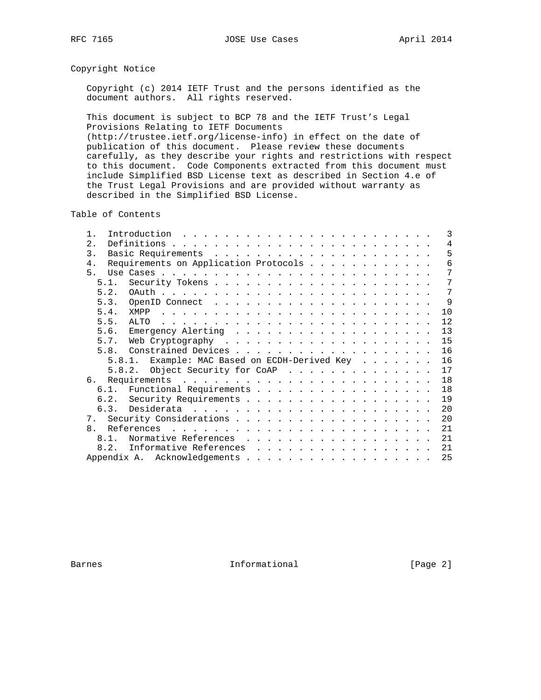# Copyright Notice

 Copyright (c) 2014 IETF Trust and the persons identified as the document authors. All rights reserved.

 This document is subject to BCP 78 and the IETF Trust's Legal Provisions Relating to IETF Documents (http://trustee.ietf.org/license-info) in effect on the date of publication of this document. Please review these documents carefully, as they describe your rights and restrictions with respect to this document. Code Components extracted from this document must include Simplified BSD License text as described in Section 4.e of the Trust Legal Provisions and are provided without warranty as described in the Simplified BSD License.

Table of Contents

| 2.1<br>3.                                     | $\overline{4}$<br>5<br>6 |
|-----------------------------------------------|--------------------------|
|                                               |                          |
|                                               |                          |
| Requirements on Application Protocols<br>4.   |                          |
| 5.                                            | 7                        |
| 5.1.                                          | 7                        |
| 5.2.                                          | 7                        |
| 5.3.                                          | 9                        |
| 5.4.<br>XMPP                                  | 10                       |
| 5.5.<br>ALTO                                  | 12                       |
| 5.6.                                          | 13                       |
| 5.7.                                          | 15                       |
| 5.8.                                          | 16                       |
| 5.8.1. Example: MAC Based on ECDH-Derived Key | 16                       |
| 5.8.2. Object Security for CoAP               | 17                       |
| 6.                                            | 18                       |
| 6.1. Functional Requirements                  | 18                       |
|                                               | 19                       |
|                                               | 20                       |
|                                               | 20                       |
| $\mathsf{R}$                                  | 21                       |
| Normative References<br>8 1                   | 21                       |
| Informative References<br>8.2.                | 21                       |
|                                               | 25                       |

Barnes **Informational Informational** [Page 2]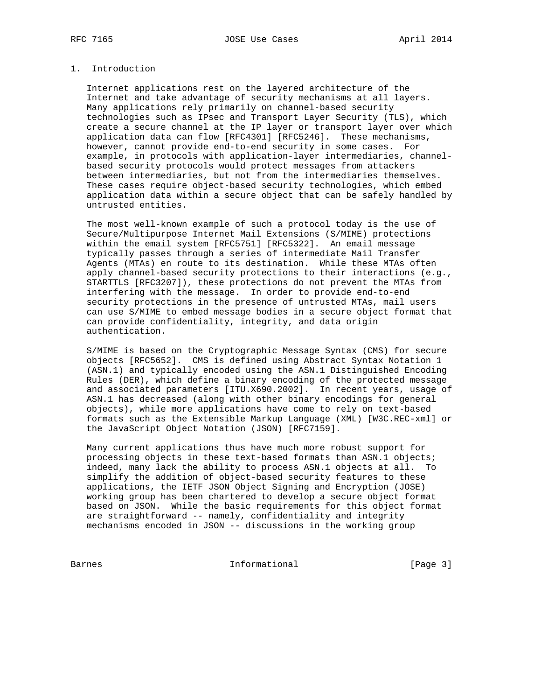# 1. Introduction

 Internet applications rest on the layered architecture of the Internet and take advantage of security mechanisms at all layers. Many applications rely primarily on channel-based security technologies such as IPsec and Transport Layer Security (TLS), which create a secure channel at the IP layer or transport layer over which application data can flow [RFC4301] [RFC5246]. These mechanisms, however, cannot provide end-to-end security in some cases. For example, in protocols with application-layer intermediaries, channel based security protocols would protect messages from attackers between intermediaries, but not from the intermediaries themselves. These cases require object-based security technologies, which embed application data within a secure object that can be safely handled by untrusted entities.

 The most well-known example of such a protocol today is the use of Secure/Multipurpose Internet Mail Extensions (S/MIME) protections within the email system [RFC5751] [RFC5322]. An email message typically passes through a series of intermediate Mail Transfer Agents (MTAs) en route to its destination. While these MTAs often apply channel-based security protections to their interactions (e.g., STARTTLS [RFC3207]), these protections do not prevent the MTAs from interfering with the message. In order to provide end-to-end security protections in the presence of untrusted MTAs, mail users can use S/MIME to embed message bodies in a secure object format that can provide confidentiality, integrity, and data origin authentication.

 S/MIME is based on the Cryptographic Message Syntax (CMS) for secure objects [RFC5652]. CMS is defined using Abstract Syntax Notation 1 (ASN.1) and typically encoded using the ASN.1 Distinguished Encoding Rules (DER), which define a binary encoding of the protected message and associated parameters [ITU.X690.2002]. In recent years, usage of ASN.1 has decreased (along with other binary encodings for general objects), while more applications have come to rely on text-based formats such as the Extensible Markup Language (XML) [W3C.REC-xml] or the JavaScript Object Notation (JSON) [RFC7159].

 Many current applications thus have much more robust support for processing objects in these text-based formats than ASN.1 objects; indeed, many lack the ability to process ASN.1 objects at all. To simplify the addition of object-based security features to these applications, the IETF JSON Object Signing and Encryption (JOSE) working group has been chartered to develop a secure object format based on JSON. While the basic requirements for this object format are straightforward -- namely, confidentiality and integrity mechanisms encoded in JSON -- discussions in the working group

Barnes **Informational Informational Example 1** [Page 3]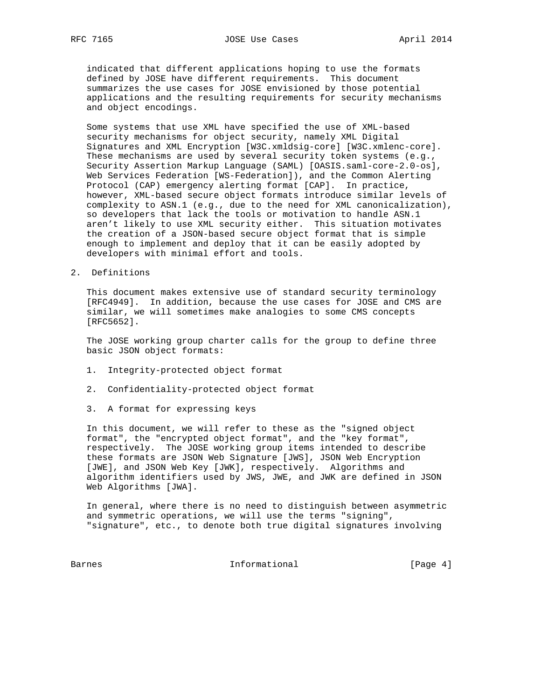indicated that different applications hoping to use the formats defined by JOSE have different requirements. This document summarizes the use cases for JOSE envisioned by those potential applications and the resulting requirements for security mechanisms and object encodings.

 Some systems that use XML have specified the use of XML-based security mechanisms for object security, namely XML Digital Signatures and XML Encryption [W3C.xmldsig-core] [W3C.xmlenc-core]. These mechanisms are used by several security token systems (e.g., Security Assertion Markup Language (SAML) [OASIS.saml-core-2.0-os], Web Services Federation [WS-Federation]), and the Common Alerting Protocol (CAP) emergency alerting format [CAP]. In practice, however, XML-based secure object formats introduce similar levels of complexity to ASN.1 (e.g., due to the need for XML canonicalization), so developers that lack the tools or motivation to handle ASN.1 aren't likely to use XML security either. This situation motivates the creation of a JSON-based secure object format that is simple enough to implement and deploy that it can be easily adopted by developers with minimal effort and tools.

2. Definitions

 This document makes extensive use of standard security terminology [RFC4949]. In addition, because the use cases for JOSE and CMS are similar, we will sometimes make analogies to some CMS concepts [RFC5652].

 The JOSE working group charter calls for the group to define three basic JSON object formats:

- 1. Integrity-protected object format
- 2. Confidentiality-protected object format
- 3. A format for expressing keys

 In this document, we will refer to these as the "signed object format", the "encrypted object format", and the "key format", respectively. The JOSE working group items intended to describe these formats are JSON Web Signature [JWS], JSON Web Encryption [JWE], and JSON Web Key [JWK], respectively. Algorithms and algorithm identifiers used by JWS, JWE, and JWK are defined in JSON Web Algorithms [JWA].

 In general, where there is no need to distinguish between asymmetric and symmetric operations, we will use the terms "signing", "signature", etc., to denote both true digital signatures involving

Barnes 1nformational 1999 [Page 4]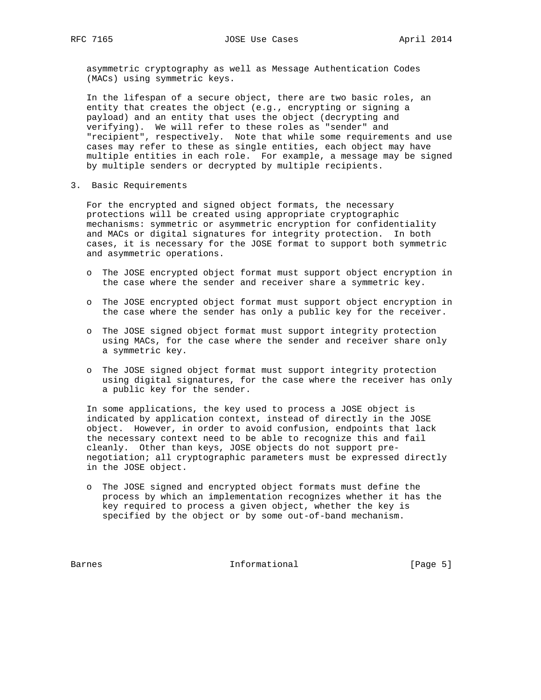asymmetric cryptography as well as Message Authentication Codes (MACs) using symmetric keys.

 In the lifespan of a secure object, there are two basic roles, an entity that creates the object (e.g., encrypting or signing a payload) and an entity that uses the object (decrypting and verifying). We will refer to these roles as "sender" and "recipient", respectively. Note that while some requirements and use cases may refer to these as single entities, each object may have multiple entities in each role. For example, a message may be signed by multiple senders or decrypted by multiple recipients.

3. Basic Requirements

 For the encrypted and signed object formats, the necessary protections will be created using appropriate cryptographic mechanisms: symmetric or asymmetric encryption for confidentiality and MACs or digital signatures for integrity protection. In both cases, it is necessary for the JOSE format to support both symmetric and asymmetric operations.

- o The JOSE encrypted object format must support object encryption in the case where the sender and receiver share a symmetric key.
- o The JOSE encrypted object format must support object encryption in the case where the sender has only a public key for the receiver.
- o The JOSE signed object format must support integrity protection using MACs, for the case where the sender and receiver share only a symmetric key.
- o The JOSE signed object format must support integrity protection using digital signatures, for the case where the receiver has only a public key for the sender.

 In some applications, the key used to process a JOSE object is indicated by application context, instead of directly in the JOSE object. However, in order to avoid confusion, endpoints that lack the necessary context need to be able to recognize this and fail cleanly. Other than keys, JOSE objects do not support pre negotiation; all cryptographic parameters must be expressed directly in the JOSE object.

 o The JOSE signed and encrypted object formats must define the process by which an implementation recognizes whether it has the key required to process a given object, whether the key is specified by the object or by some out-of-band mechanism.

Barnes **Informational Informational** [Page 5]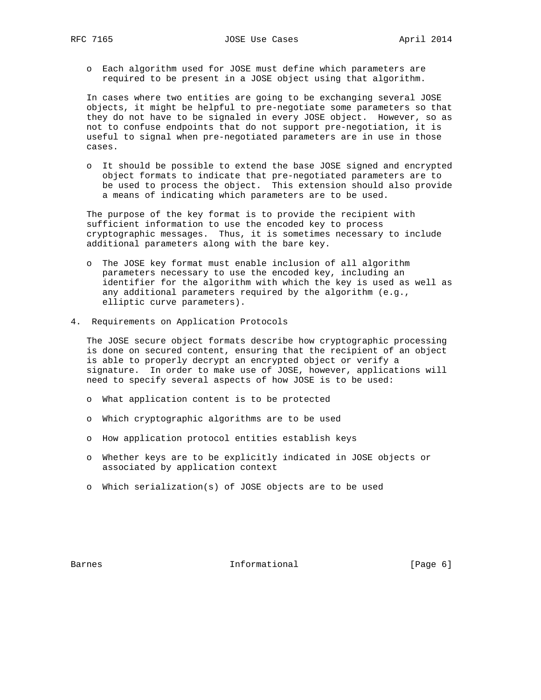o Each algorithm used for JOSE must define which parameters are required to be present in a JOSE object using that algorithm.

 In cases where two entities are going to be exchanging several JOSE objects, it might be helpful to pre-negotiate some parameters so that they do not have to be signaled in every JOSE object. However, so as not to confuse endpoints that do not support pre-negotiation, it is useful to signal when pre-negotiated parameters are in use in those cases.

 o It should be possible to extend the base JOSE signed and encrypted object formats to indicate that pre-negotiated parameters are to be used to process the object. This extension should also provide a means of indicating which parameters are to be used.

 The purpose of the key format is to provide the recipient with sufficient information to use the encoded key to process cryptographic messages. Thus, it is sometimes necessary to include additional parameters along with the bare key.

- o The JOSE key format must enable inclusion of all algorithm parameters necessary to use the encoded key, including an identifier for the algorithm with which the key is used as well as any additional parameters required by the algorithm (e.g., elliptic curve parameters).
- 4. Requirements on Application Protocols

 The JOSE secure object formats describe how cryptographic processing is done on secured content, ensuring that the recipient of an object is able to properly decrypt an encrypted object or verify a signature. In order to make use of JOSE, however, applications will need to specify several aspects of how JOSE is to be used:

- o What application content is to be protected
- o Which cryptographic algorithms are to be used
- o How application protocol entities establish keys
- o Whether keys are to be explicitly indicated in JOSE objects or associated by application context
- o Which serialization(s) of JOSE objects are to be used

Barnes **Informational Informational** [Page 6]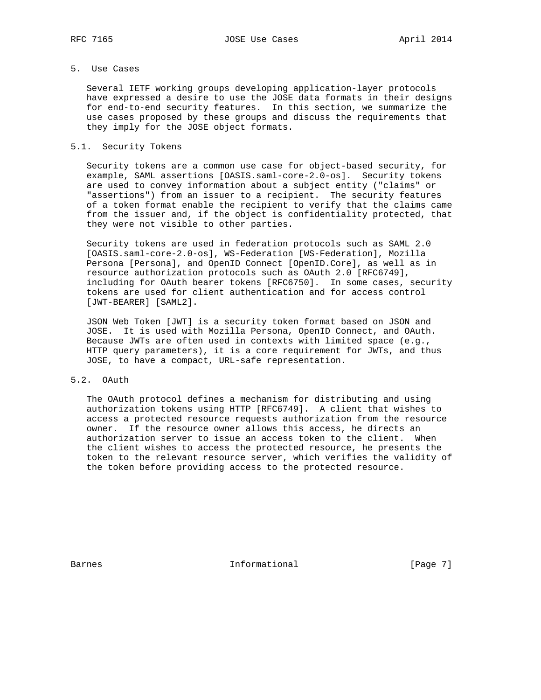# 5. Use Cases

 Several IETF working groups developing application-layer protocols have expressed a desire to use the JOSE data formats in their designs for end-to-end security features. In this section, we summarize the use cases proposed by these groups and discuss the requirements that they imply for the JOSE object formats.

## 5.1. Security Tokens

 Security tokens are a common use case for object-based security, for example, SAML assertions [OASIS.saml-core-2.0-os]. Security tokens are used to convey information about a subject entity ("claims" or "assertions") from an issuer to a recipient. The security features of a token format enable the recipient to verify that the claims came from the issuer and, if the object is confidentiality protected, that they were not visible to other parties.

 Security tokens are used in federation protocols such as SAML 2.0 [OASIS.saml-core-2.0-os], WS-Federation [WS-Federation], Mozilla Persona [Persona], and OpenID Connect [OpenID.Core], as well as in resource authorization protocols such as OAuth 2.0 [RFC6749], including for OAuth bearer tokens [RFC6750]. In some cases, security tokens are used for client authentication and for access control [JWT-BEARER] [SAML2].

 JSON Web Token [JWT] is a security token format based on JSON and JOSE. It is used with Mozilla Persona, OpenID Connect, and OAuth. Because JWTs are often used in contexts with limited space (e.g., HTTP query parameters), it is a core requirement for JWTs, and thus JOSE, to have a compact, URL-safe representation.

# 5.2. OAuth

 The OAuth protocol defines a mechanism for distributing and using authorization tokens using HTTP [RFC6749]. A client that wishes to access a protected resource requests authorization from the resource owner. If the resource owner allows this access, he directs an authorization server to issue an access token to the client. When the client wishes to access the protected resource, he presents the token to the relevant resource server, which verifies the validity of the token before providing access to the protected resource.

Barnes **Informational Informational** [Page 7]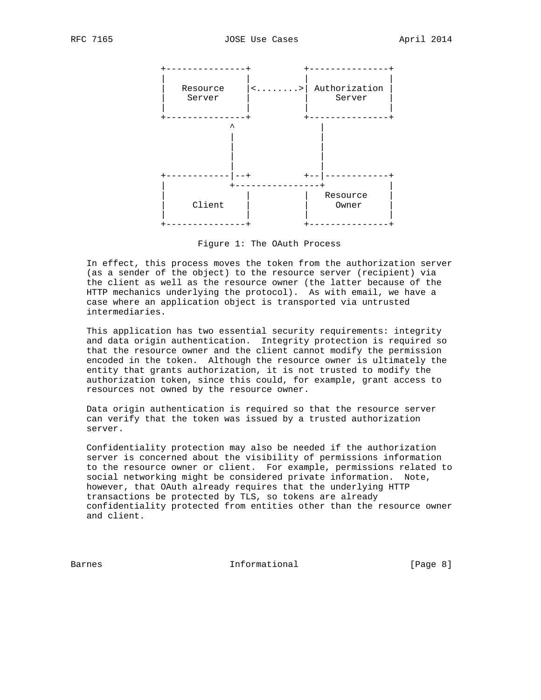

Figure 1: The OAuth Process

 In effect, this process moves the token from the authorization server (as a sender of the object) to the resource server (recipient) via the client as well as the resource owner (the latter because of the HTTP mechanics underlying the protocol). As with email, we have a case where an application object is transported via untrusted intermediaries.

 This application has two essential security requirements: integrity and data origin authentication. Integrity protection is required so that the resource owner and the client cannot modify the permission encoded in the token. Although the resource owner is ultimately the entity that grants authorization, it is not trusted to modify the authorization token, since this could, for example, grant access to resources not owned by the resource owner.

 Data origin authentication is required so that the resource server can verify that the token was issued by a trusted authorization server.

 Confidentiality protection may also be needed if the authorization server is concerned about the visibility of permissions information to the resource owner or client. For example, permissions related to social networking might be considered private information. Note, however, that OAuth already requires that the underlying HTTP transactions be protected by TLS, so tokens are already confidentiality protected from entities other than the resource owner and client.

Barnes **Informational Informational** [Page 8]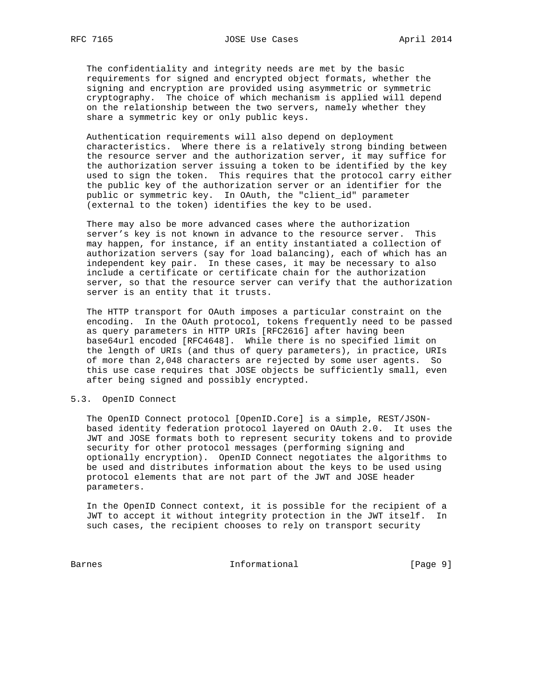The confidentiality and integrity needs are met by the basic requirements for signed and encrypted object formats, whether the signing and encryption are provided using asymmetric or symmetric cryptography. The choice of which mechanism is applied will depend on the relationship between the two servers, namely whether they share a symmetric key or only public keys.

 Authentication requirements will also depend on deployment characteristics. Where there is a relatively strong binding between the resource server and the authorization server, it may suffice for the authorization server issuing a token to be identified by the key used to sign the token. This requires that the protocol carry either the public key of the authorization server or an identifier for the public or symmetric key. In OAuth, the "client\_id" parameter (external to the token) identifies the key to be used.

 There may also be more advanced cases where the authorization server's key is not known in advance to the resource server. This may happen, for instance, if an entity instantiated a collection of authorization servers (say for load balancing), each of which has an independent key pair. In these cases, it may be necessary to also include a certificate or certificate chain for the authorization server, so that the resource server can verify that the authorization server is an entity that it trusts.

 The HTTP transport for OAuth imposes a particular constraint on the encoding. In the OAuth protocol, tokens frequently need to be passed as query parameters in HTTP URIs [RFC2616] after having been base64url encoded [RFC4648]. While there is no specified limit on the length of URIs (and thus of query parameters), in practice, URIs of more than 2,048 characters are rejected by some user agents. So this use case requires that JOSE objects be sufficiently small, even after being signed and possibly encrypted.

#### 5.3. OpenID Connect

 The OpenID Connect protocol [OpenID.Core] is a simple, REST/JSON based identity federation protocol layered on OAuth 2.0. It uses the JWT and JOSE formats both to represent security tokens and to provide security for other protocol messages (performing signing and optionally encryption). OpenID Connect negotiates the algorithms to be used and distributes information about the keys to be used using protocol elements that are not part of the JWT and JOSE header parameters.

 In the OpenID Connect context, it is possible for the recipient of a JWT to accept it without integrity protection in the JWT itself. In such cases, the recipient chooses to rely on transport security

Barnes 1nformational [Page 9]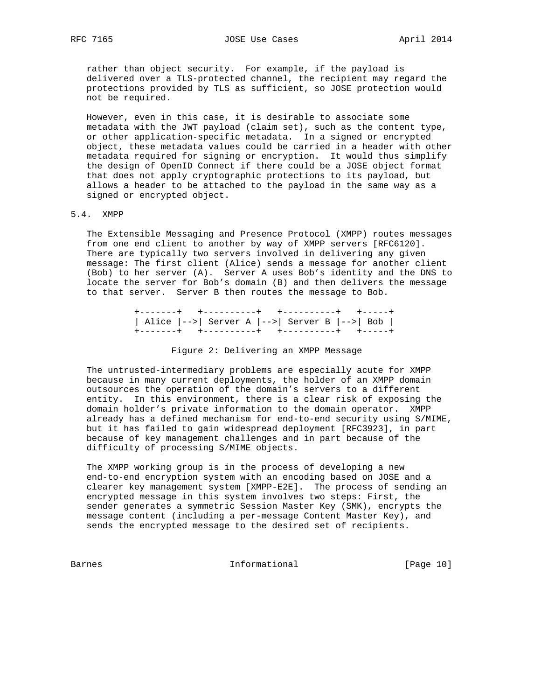rather than object security. For example, if the payload is delivered over a TLS-protected channel, the recipient may regard the protections provided by TLS as sufficient, so JOSE protection would not be required.

 However, even in this case, it is desirable to associate some metadata with the JWT payload (claim set), such as the content type, or other application-specific metadata. In a signed or encrypted object, these metadata values could be carried in a header with other metadata required for signing or encryption. It would thus simplify the design of OpenID Connect if there could be a JOSE object format that does not apply cryptographic protections to its payload, but allows a header to be attached to the payload in the same way as a signed or encrypted object.

### 5.4. XMPP

 The Extensible Messaging and Presence Protocol (XMPP) routes messages from one end client to another by way of XMPP servers [RFC6120]. There are typically two servers involved in delivering any given message: The first client (Alice) sends a message for another client (Bob) to her server (A). Server A uses Bob's identity and the DNS to locate the server for Bob's domain (B) and then delivers the message to that server. Server B then routes the message to Bob.

> +-------+ +----------+ +----------+ +-----+ | Alice |-->| Server A |-->| Server B |-->| Bob | +-------+ +----------+ +----------+ +-----+

#### Figure 2: Delivering an XMPP Message

 The untrusted-intermediary problems are especially acute for XMPP because in many current deployments, the holder of an XMPP domain outsources the operation of the domain's servers to a different entity. In this environment, there is a clear risk of exposing the domain holder's private information to the domain operator. XMPP already has a defined mechanism for end-to-end security using S/MIME, but it has failed to gain widespread deployment [RFC3923], in part because of key management challenges and in part because of the difficulty of processing S/MIME objects.

 The XMPP working group is in the process of developing a new end-to-end encryption system with an encoding based on JOSE and a clearer key management system [XMPP-E2E]. The process of sending an encrypted message in this system involves two steps: First, the sender generates a symmetric Session Master Key (SMK), encrypts the message content (including a per-message Content Master Key), and sends the encrypted message to the desired set of recipients.

Barnes 10 Informational [Page 10]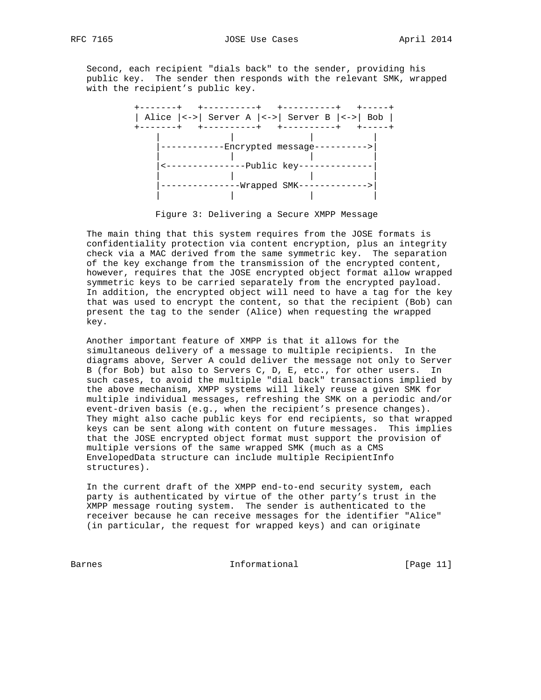Second, each recipient "dials back" to the sender, providing his public key. The sender then responds with the relevant SMK, wrapped with the recipient's public key.



Figure 3: Delivering a Secure XMPP Message

 The main thing that this system requires from the JOSE formats is confidentiality protection via content encryption, plus an integrity check via a MAC derived from the same symmetric key. The separation of the key exchange from the transmission of the encrypted content, however, requires that the JOSE encrypted object format allow wrapped symmetric keys to be carried separately from the encrypted payload. In addition, the encrypted object will need to have a tag for the key that was used to encrypt the content, so that the recipient (Bob) can present the tag to the sender (Alice) when requesting the wrapped key.

 Another important feature of XMPP is that it allows for the simultaneous delivery of a message to multiple recipients. In the diagrams above, Server A could deliver the message not only to Server B (for Bob) but also to Servers C, D, E, etc., for other users. In such cases, to avoid the multiple "dial back" transactions implied by the above mechanism, XMPP systems will likely reuse a given SMK for multiple individual messages, refreshing the SMK on a periodic and/or event-driven basis (e.g., when the recipient's presence changes). They might also cache public keys for end recipients, so that wrapped keys can be sent along with content on future messages. This implies that the JOSE encrypted object format must support the provision of multiple versions of the same wrapped SMK (much as a CMS EnvelopedData structure can include multiple RecipientInfo structures).

 In the current draft of the XMPP end-to-end security system, each party is authenticated by virtue of the other party's trust in the XMPP message routing system. The sender is authenticated to the receiver because he can receive messages for the identifier "Alice" (in particular, the request for wrapped keys) and can originate

Barnes 11 Communicational Enformational [Page 11]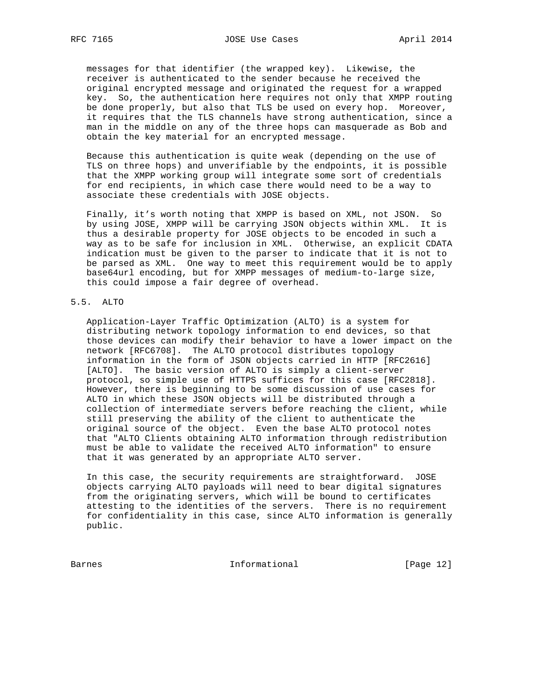messages for that identifier (the wrapped key). Likewise, the receiver is authenticated to the sender because he received the original encrypted message and originated the request for a wrapped key. So, the authentication here requires not only that XMPP routing be done properly, but also that TLS be used on every hop. Moreover, it requires that the TLS channels have strong authentication, since a man in the middle on any of the three hops can masquerade as Bob and obtain the key material for an encrypted message.

 Because this authentication is quite weak (depending on the use of TLS on three hops) and unverifiable by the endpoints, it is possible that the XMPP working group will integrate some sort of credentials for end recipients, in which case there would need to be a way to associate these credentials with JOSE objects.

 Finally, it's worth noting that XMPP is based on XML, not JSON. So by using JOSE, XMPP will be carrying JSON objects within XML. It is thus a desirable property for JOSE objects to be encoded in such a way as to be safe for inclusion in XML. Otherwise, an explicit CDATA indication must be given to the parser to indicate that it is not to be parsed as XML. One way to meet this requirement would be to apply base64url encoding, but for XMPP messages of medium-to-large size, this could impose a fair degree of overhead.

### 5.5. ALTO

 Application-Layer Traffic Optimization (ALTO) is a system for distributing network topology information to end devices, so that those devices can modify their behavior to have a lower impact on the network [RFC6708]. The ALTO protocol distributes topology information in the form of JSON objects carried in HTTP [RFC2616] [ALTO]. The basic version of ALTO is simply a client-server protocol, so simple use of HTTPS suffices for this case [RFC2818]. However, there is beginning to be some discussion of use cases for ALTO in which these JSON objects will be distributed through a collection of intermediate servers before reaching the client, while still preserving the ability of the client to authenticate the original source of the object. Even the base ALTO protocol notes that "ALTO Clients obtaining ALTO information through redistribution must be able to validate the received ALTO information" to ensure that it was generated by an appropriate ALTO server.

 In this case, the security requirements are straightforward. JOSE objects carrying ALTO payloads will need to bear digital signatures from the originating servers, which will be bound to certificates attesting to the identities of the servers. There is no requirement for confidentiality in this case, since ALTO information is generally public.

Barnes 10 and 11 and 11 and 12 and 12 and 12 and 12 and 12 and 12 and 12 and 12 and 12 and 12 and 12 and 12 and 12 and 12 and 12 and 12 and 12 and 12 and 12 and 12 and 12 and 12 and 12 and 12 and 12 and 12 and 12 and 12 an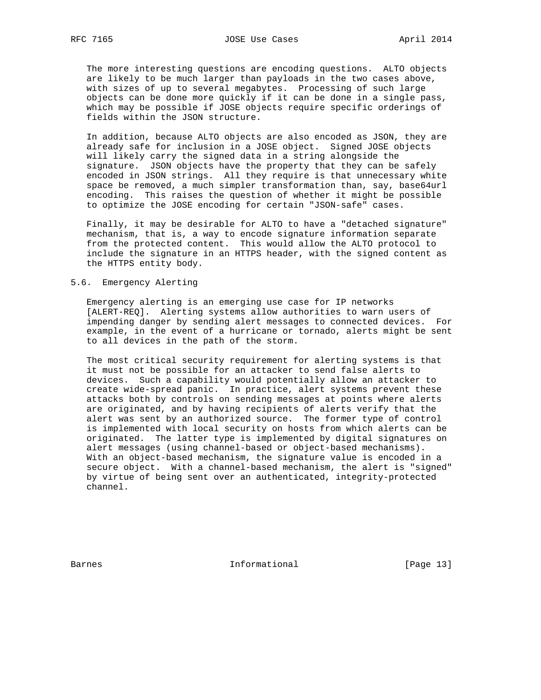The more interesting questions are encoding questions. ALTO objects are likely to be much larger than payloads in the two cases above, with sizes of up to several megabytes. Processing of such large objects can be done more quickly if it can be done in a single pass, which may be possible if JOSE objects require specific orderings of fields within the JSON structure.

 In addition, because ALTO objects are also encoded as JSON, they are already safe for inclusion in a JOSE object. Signed JOSE objects will likely carry the signed data in a string alongside the signature. JSON objects have the property that they can be safely encoded in JSON strings. All they require is that unnecessary white space be removed, a much simpler transformation than, say, base64url encoding. This raises the question of whether it might be possible to optimize the JOSE encoding for certain "JSON-safe" cases.

 Finally, it may be desirable for ALTO to have a "detached signature" mechanism, that is, a way to encode signature information separate from the protected content. This would allow the ALTO protocol to include the signature in an HTTPS header, with the signed content as the HTTPS entity body.

#### 5.6. Emergency Alerting

 Emergency alerting is an emerging use case for IP networks [ALERT-REQ]. Alerting systems allow authorities to warn users of impending danger by sending alert messages to connected devices. For example, in the event of a hurricane or tornado, alerts might be sent to all devices in the path of the storm.

 The most critical security requirement for alerting systems is that it must not be possible for an attacker to send false alerts to devices. Such a capability would potentially allow an attacker to create wide-spread panic. In practice, alert systems prevent these attacks both by controls on sending messages at points where alerts are originated, and by having recipients of alerts verify that the alert was sent by an authorized source. The former type of control is implemented with local security on hosts from which alerts can be originated. The latter type is implemented by digital signatures on alert messages (using channel-based or object-based mechanisms). With an object-based mechanism, the signature value is encoded in a secure object. With a channel-based mechanism, the alert is "signed" by virtue of being sent over an authenticated, integrity-protected channel.

Barnes 10 and 10 and 10 and 10 and 10 and 10 and 10 and 10 and 10 and 10 and 10 and 10 and 10 and 10 and 10 and 10 and 10 and 10 and 10 and 10 and 10 and 10 and 10 and 10 and 10 and 10 and 10 and 10 and 10 and 10 and 10 an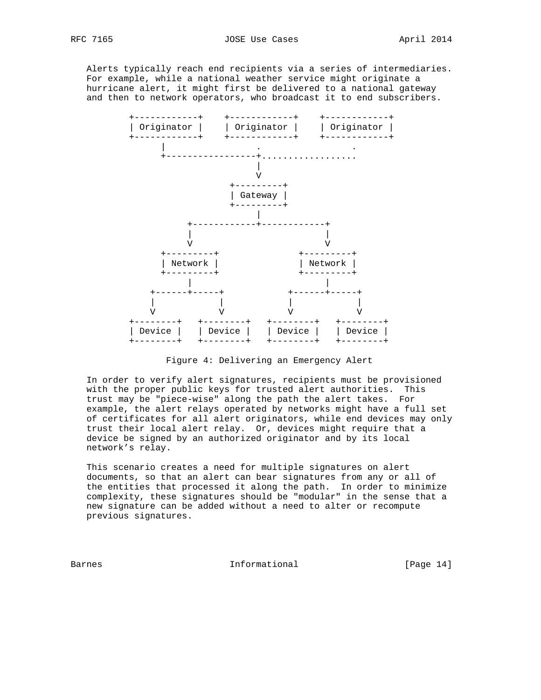Alerts typically reach end recipients via a series of intermediaries. For example, while a national weather service might originate a hurricane alert, it might first be delivered to a national gateway and then to network operators, who broadcast it to end subscribers.



Figure 4: Delivering an Emergency Alert

 In order to verify alert signatures, recipients must be provisioned with the proper public keys for trusted alert authorities. This trust may be "piece-wise" along the path the alert takes. For example, the alert relays operated by networks might have a full set of certificates for all alert originators, while end devices may only trust their local alert relay. Or, devices might require that a device be signed by an authorized originator and by its local network's relay.

 This scenario creates a need for multiple signatures on alert documents, so that an alert can bear signatures from any or all of the entities that processed it along the path. In order to minimize complexity, these signatures should be "modular" in the sense that a new signature can be added without a need to alter or recompute previous signatures.

Barnes **Informational Informational** [Page 14]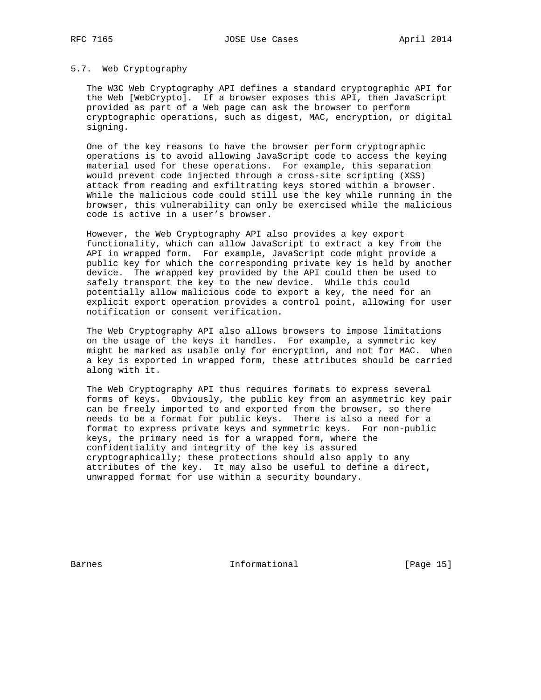#### 5.7. Web Cryptography

 The W3C Web Cryptography API defines a standard cryptographic API for the Web [WebCrypto]. If a browser exposes this API, then JavaScript provided as part of a Web page can ask the browser to perform cryptographic operations, such as digest, MAC, encryption, or digital signing.

 One of the key reasons to have the browser perform cryptographic operations is to avoid allowing JavaScript code to access the keying material used for these operations. For example, this separation would prevent code injected through a cross-site scripting (XSS) attack from reading and exfiltrating keys stored within a browser. While the malicious code could still use the key while running in the browser, this vulnerability can only be exercised while the malicious code is active in a user's browser.

 However, the Web Cryptography API also provides a key export functionality, which can allow JavaScript to extract a key from the API in wrapped form. For example, JavaScript code might provide a public key for which the corresponding private key is held by another device. The wrapped key provided by the API could then be used to safely transport the key to the new device. While this could potentially allow malicious code to export a key, the need for an explicit export operation provides a control point, allowing for user notification or consent verification.

 The Web Cryptography API also allows browsers to impose limitations on the usage of the keys it handles. For example, a symmetric key might be marked as usable only for encryption, and not for MAC. When a key is exported in wrapped form, these attributes should be carried along with it.

 The Web Cryptography API thus requires formats to express several forms of keys. Obviously, the public key from an asymmetric key pair can be freely imported to and exported from the browser, so there needs to be a format for public keys. There is also a need for a format to express private keys and symmetric keys. For non-public keys, the primary need is for a wrapped form, where the confidentiality and integrity of the key is assured cryptographically; these protections should also apply to any attributes of the key. It may also be useful to define a direct, unwrapped format for use within a security boundary.

Barnes 1999 Communicational Enformational Frage 15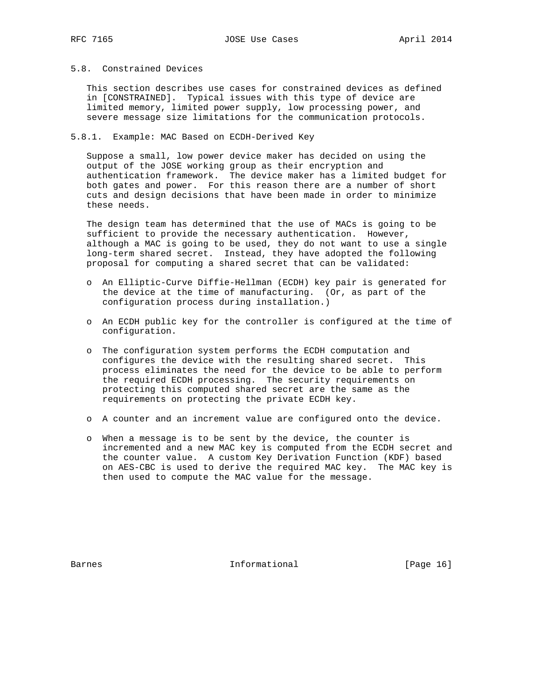# 5.8. Constrained Devices

 This section describes use cases for constrained devices as defined in [CONSTRAINED]. Typical issues with this type of device are limited memory, limited power supply, low processing power, and severe message size limitations for the communication protocols.

### 5.8.1. Example: MAC Based on ECDH-Derived Key

 Suppose a small, low power device maker has decided on using the output of the JOSE working group as their encryption and authentication framework. The device maker has a limited budget for both gates and power. For this reason there are a number of short cuts and design decisions that have been made in order to minimize these needs.

 The design team has determined that the use of MACs is going to be sufficient to provide the necessary authentication. However, although a MAC is going to be used, they do not want to use a single long-term shared secret. Instead, they have adopted the following proposal for computing a shared secret that can be validated:

- o An Elliptic-Curve Diffie-Hellman (ECDH) key pair is generated for the device at the time of manufacturing. (Or, as part of the configuration process during installation.)
- o An ECDH public key for the controller is configured at the time of configuration.
- o The configuration system performs the ECDH computation and configures the device with the resulting shared secret. This process eliminates the need for the device to be able to perform the required ECDH processing. The security requirements on protecting this computed shared secret are the same as the requirements on protecting the private ECDH key.
- o A counter and an increment value are configured onto the device.
- o When a message is to be sent by the device, the counter is incremented and a new MAC key is computed from the ECDH secret and the counter value. A custom Key Derivation Function (KDF) based on AES-CBC is used to derive the required MAC key. The MAC key is then used to compute the MAC value for the message.

Barnes 16 and 11 and 11 and 10 and 16 and 16 and 16 and 16 and 16 and 16 and 16 and 16 and 16 and 16 and 16 and 16 and 16 and 16 and 16 and 16 and 16 and 16 and 16 and 16 and 16 and 16 and 16 and 16 and 16 and 16 and 16 an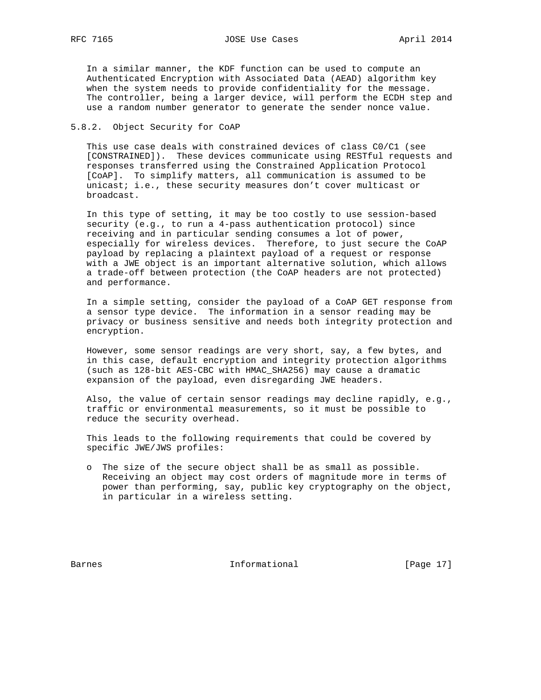RFC 7165 **JOSE Use Cases** April 2014

 In a similar manner, the KDF function can be used to compute an Authenticated Encryption with Associated Data (AEAD) algorithm key when the system needs to provide confidentiality for the message. The controller, being a larger device, will perform the ECDH step and use a random number generator to generate the sender nonce value.

## 5.8.2. Object Security for CoAP

 This use case deals with constrained devices of class C0/C1 (see [CONSTRAINED]). These devices communicate using RESTful requests and responses transferred using the Constrained Application Protocol [CoAP]. To simplify matters, all communication is assumed to be unicast; i.e., these security measures don't cover multicast or broadcast.

 In this type of setting, it may be too costly to use session-based security (e.g., to run a 4-pass authentication protocol) since receiving and in particular sending consumes a lot of power, especially for wireless devices. Therefore, to just secure the CoAP payload by replacing a plaintext payload of a request or response with a JWE object is an important alternative solution, which allows a trade-off between protection (the CoAP headers are not protected) and performance.

 In a simple setting, consider the payload of a CoAP GET response from a sensor type device. The information in a sensor reading may be privacy or business sensitive and needs both integrity protection and encryption.

 However, some sensor readings are very short, say, a few bytes, and in this case, default encryption and integrity protection algorithms (such as 128-bit AES-CBC with HMAC\_SHA256) may cause a dramatic expansion of the payload, even disregarding JWE headers.

 Also, the value of certain sensor readings may decline rapidly, e.g., traffic or environmental measurements, so it must be possible to reduce the security overhead.

 This leads to the following requirements that could be covered by specific JWE/JWS profiles:

 o The size of the secure object shall be as small as possible. Receiving an object may cost orders of magnitude more in terms of power than performing, say, public key cryptography on the object, in particular in a wireless setting.

Barnes 10 and 10 and 10 and 10 and 10 and 10 and 10 and 10 and 10 and 10 and 10 and 10 and 10 and 10 and 10 and 10 and 10 and 10 and 10 and 10 and 10 and 10 and 10 and 10 and 10 and 10 and 10 and 10 and 10 and 10 and 10 an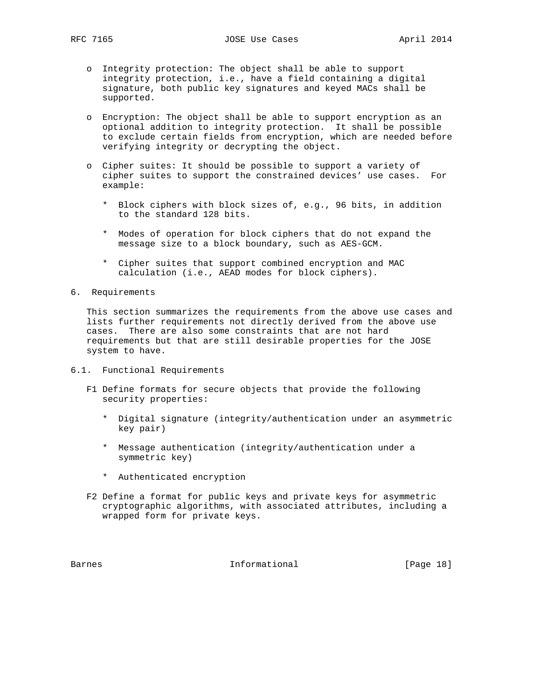- o Integrity protection: The object shall be able to support integrity protection, i.e., have a field containing a digital signature, both public key signatures and keyed MACs shall be supported.
- o Encryption: The object shall be able to support encryption as an optional addition to integrity protection. It shall be possible to exclude certain fields from encryption, which are needed before verifying integrity or decrypting the object.
- o Cipher suites: It should be possible to support a variety of cipher suites to support the constrained devices' use cases. For example:
	- \* Block ciphers with block sizes of, e.g., 96 bits, in addition to the standard 128 bits.
	- \* Modes of operation for block ciphers that do not expand the message size to a block boundary, such as AES-GCM.
	- \* Cipher suites that support combined encryption and MAC calculation (i.e., AEAD modes for block ciphers).
- 6. Requirements

 This section summarizes the requirements from the above use cases and lists further requirements not directly derived from the above use cases. There are also some constraints that are not hard requirements but that are still desirable properties for the JOSE system to have.

- 6.1. Functional Requirements
	- F1 Define formats for secure objects that provide the following security properties:
		- \* Digital signature (integrity/authentication under an asymmetric key pair)
		- \* Message authentication (integrity/authentication under a symmetric key)
		- \* Authenticated encryption
	- F2 Define a format for public keys and private keys for asymmetric cryptographic algorithms, with associated attributes, including a wrapped form for private keys.

Barnes 18 and 1992 Informational 1999 [Page 18]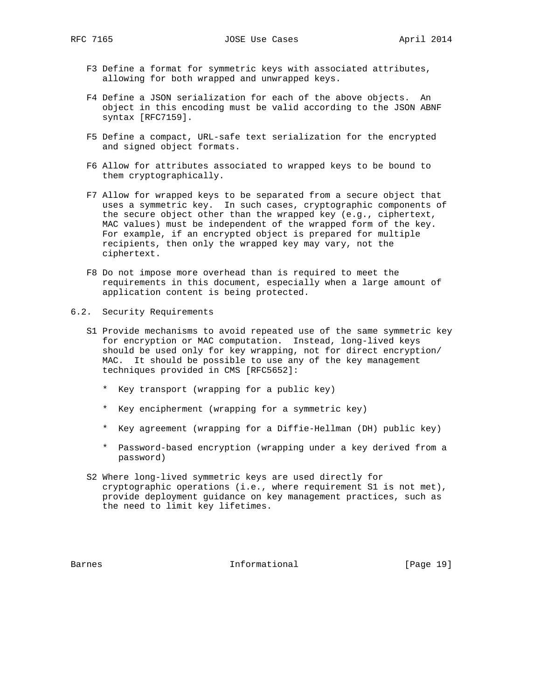- F3 Define a format for symmetric keys with associated attributes, allowing for both wrapped and unwrapped keys.
- F4 Define a JSON serialization for each of the above objects. An object in this encoding must be valid according to the JSON ABNF syntax [RFC7159].
- F5 Define a compact, URL-safe text serialization for the encrypted and signed object formats.
- F6 Allow for attributes associated to wrapped keys to be bound to them cryptographically.
- F7 Allow for wrapped keys to be separated from a secure object that uses a symmetric key. In such cases, cryptographic components of the secure object other than the wrapped key (e.g., ciphertext, MAC values) must be independent of the wrapped form of the key. For example, if an encrypted object is prepared for multiple recipients, then only the wrapped key may vary, not the ciphertext.
- F8 Do not impose more overhead than is required to meet the requirements in this document, especially when a large amount of application content is being protected.
- 6.2. Security Requirements
	- S1 Provide mechanisms to avoid repeated use of the same symmetric key for encryption or MAC computation. Instead, long-lived keys should be used only for key wrapping, not for direct encryption/ MAC. It should be possible to use any of the key management techniques provided in CMS [RFC5652]:
		- \* Key transport (wrapping for a public key)
		- \* Key encipherment (wrapping for a symmetric key)
		- \* Key agreement (wrapping for a Diffie-Hellman (DH) public key)
		- \* Password-based encryption (wrapping under a key derived from a password)
	- S2 Where long-lived symmetric keys are used directly for cryptographic operations (i.e., where requirement S1 is not met), provide deployment guidance on key management practices, such as the need to limit key lifetimes.

Barnes **Informational** [Page 19]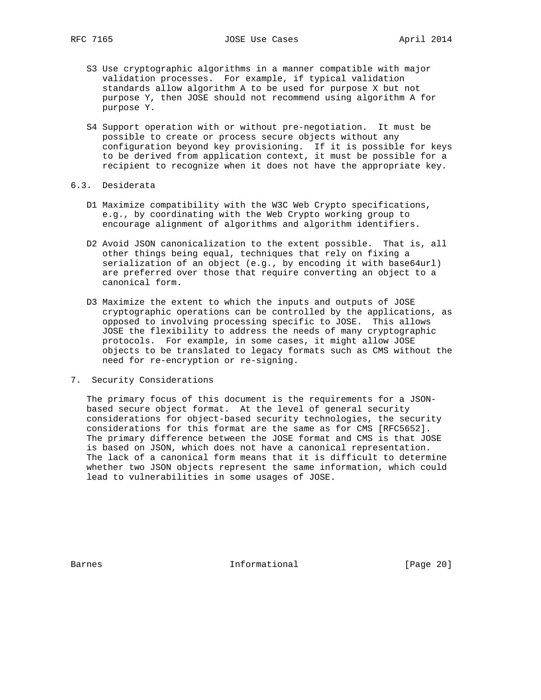- S3 Use cryptographic algorithms in a manner compatible with major validation processes. For example, if typical validation standards allow algorithm A to be used for purpose X but not purpose Y, then JOSE should not recommend using algorithm A for purpose Y.
- S4 Support operation with or without pre-negotiation. It must be possible to create or process secure objects without any configuration beyond key provisioning. If it is possible for keys to be derived from application context, it must be possible for a recipient to recognize when it does not have the appropriate key.
- 6.3. Desiderata
	- D1 Maximize compatibility with the W3C Web Crypto specifications, e.g., by coordinating with the Web Crypto working group to encourage alignment of algorithms and algorithm identifiers.
	- D2 Avoid JSON canonicalization to the extent possible. That is, all other things being equal, techniques that rely on fixing a serialization of an object (e.g., by encoding it with base64url) are preferred over those that require converting an object to a canonical form.
	- D3 Maximize the extent to which the inputs and outputs of JOSE cryptographic operations can be controlled by the applications, as opposed to involving processing specific to JOSE. This allows JOSE the flexibility to address the needs of many cryptographic protocols. For example, in some cases, it might allow JOSE objects to be translated to legacy formats such as CMS without the need for re-encryption or re-signing.
- 7. Security Considerations

 The primary focus of this document is the requirements for a JSON based secure object format. At the level of general security considerations for object-based security technologies, the security considerations for this format are the same as for CMS [RFC5652]. The primary difference between the JOSE format and CMS is that JOSE is based on JSON, which does not have a canonical representation. The lack of a canonical form means that it is difficult to determine whether two JSON objects represent the same information, which could lead to vulnerabilities in some usages of JOSE.

Barnes **Informational Informational** [Page 20]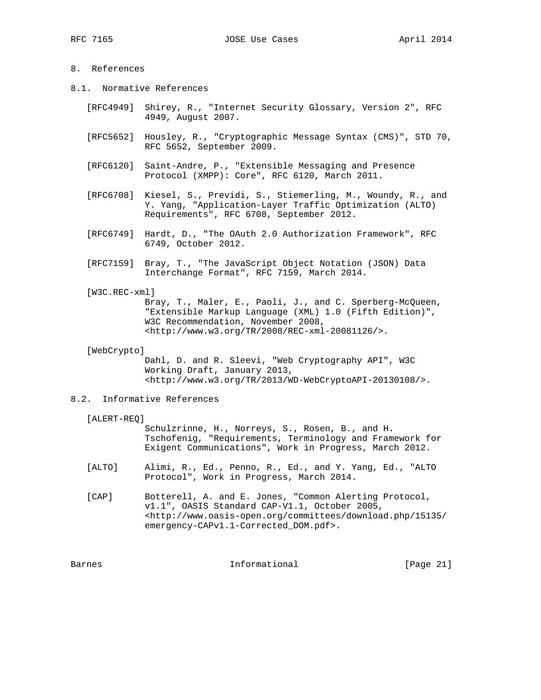# 8. References

- 8.1. Normative References
	- [RFC4949] Shirey, R., "Internet Security Glossary, Version 2", RFC 4949, August 2007.
	- [RFC5652] Housley, R., "Cryptographic Message Syntax (CMS)", STD 70, RFC 5652, September 2009.
	- [RFC6120] Saint-Andre, P., "Extensible Messaging and Presence Protocol (XMPP): Core", RFC 6120, March 2011.
	- [RFC6708] Kiesel, S., Previdi, S., Stiemerling, M., Woundy, R., and Y. Yang, "Application-Layer Traffic Optimization (ALTO) Requirements", RFC 6708, September 2012.
	- [RFC6749] Hardt, D., "The OAuth 2.0 Authorization Framework", RFC 6749, October 2012.
	- [RFC7159] Bray, T., "The JavaScript Object Notation (JSON) Data Interchange Format", RFC 7159, March 2014.
	- [W3C.REC-xml]

 Bray, T., Maler, E., Paoli, J., and C. Sperberg-McQueen, "Extensible Markup Language (XML) 1.0 (Fifth Edition)", W3C Recommendation, November 2008, <http://www.w3.org/TR/2008/REC-xml-20081126/>.

[WebCrypto]

 Dahl, D. and R. Sleevi, "Web Cryptography API", W3C Working Draft, January 2013, <http://www.w3.org/TR/2013/WD-WebCryptoAPI-20130108/>.

### 8.2. Informative References

#### [ALERT-REQ]

 Schulzrinne, H., Norreys, S., Rosen, B., and H. Tschofenig, "Requirements, Terminology and Framework for Exigent Communications", Work in Progress, March 2012.

- [ALTO] Alimi, R., Ed., Penno, R., Ed., and Y. Yang, Ed., "ALTO Protocol", Work in Progress, March 2014.
- [CAP] Botterell, A. and E. Jones, "Common Alerting Protocol, v1.1", OASIS Standard CAP-V1.1, October 2005, <http://www.oasis-open.org/committees/download.php/15135/ emergency-CAPv1.1-Corrected\_DOM.pdf>.

Barnes **Informational** [Page 21]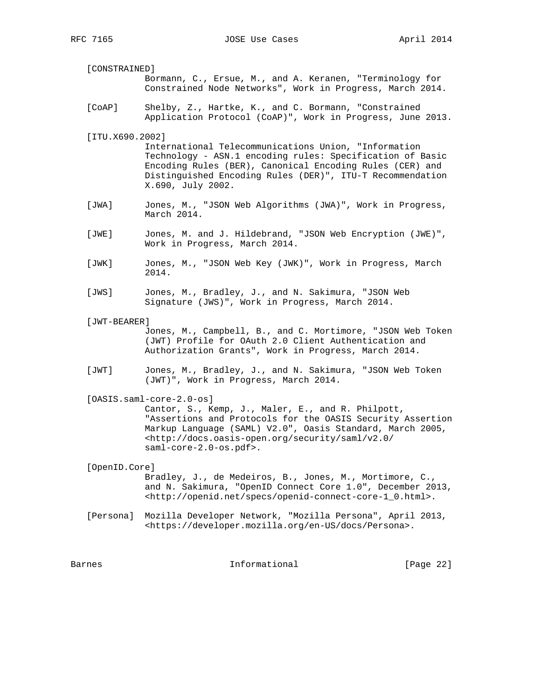- [CONSTRAINED] Bormann, C., Ersue, M., and A. Keranen, "Terminology for Constrained Node Networks", Work in Progress, March 2014.
- [CoAP] Shelby, Z., Hartke, K., and C. Bormann, "Constrained Application Protocol (CoAP)", Work in Progress, June 2013.
- [ITU.X690.2002]

 International Telecommunications Union, "Information Technology - ASN.1 encoding rules: Specification of Basic Encoding Rules (BER), Canonical Encoding Rules (CER) and Distinguished Encoding Rules (DER)", ITU-T Recommendation X.690, July 2002.

- [JWA] Jones, M., "JSON Web Algorithms (JWA)", Work in Progress, March 2014.
- [JWE] Jones, M. and J. Hildebrand, "JSON Web Encryption (JWE)", Work in Progress, March 2014.
- [JWK] Jones, M., "JSON Web Key (JWK)", Work in Progress, March 2014.
- [JWS] Jones, M., Bradley, J., and N. Sakimura, "JSON Web Signature (JWS)", Work in Progress, March 2014.
- [JWT-BEARER]

 Jones, M., Campbell, B., and C. Mortimore, "JSON Web Token (JWT) Profile for OAuth 2.0 Client Authentication and Authorization Grants", Work in Progress, March 2014.

 [JWT] Jones, M., Bradley, J., and N. Sakimura, "JSON Web Token (JWT)", Work in Progress, March 2014.

[OASIS.saml-core-2.0-os]

 Cantor, S., Kemp, J., Maler, E., and R. Philpott, "Assertions and Protocols for the OASIS Security Assertion Markup Language (SAML) V2.0", Oasis Standard, March 2005, <http://docs.oasis-open.org/security/saml/v2.0/ saml-core-2.0-os.pdf>.

[OpenID.Core]

 Bradley, J., de Medeiros, B., Jones, M., Mortimore, C., and N. Sakimura, "OpenID Connect Core 1.0", December 2013, <http://openid.net/specs/openid-connect-core-1\_0.html>.

 [Persona] Mozilla Developer Network, "Mozilla Persona", April 2013, <https://developer.mozilla.org/en-US/docs/Persona>.

Barnes 10 and 11 and 11 and 11 and 10 and 11 and 12 and 12 and 12 and 12 and 12 and 12 and 12 and 12 and 12 and 12 and 12 and 12 and 12 and 12 and 12 and 12 and 12 and 12 and 12 and 12 and 12 and 12 and 12 and 12 and 12 an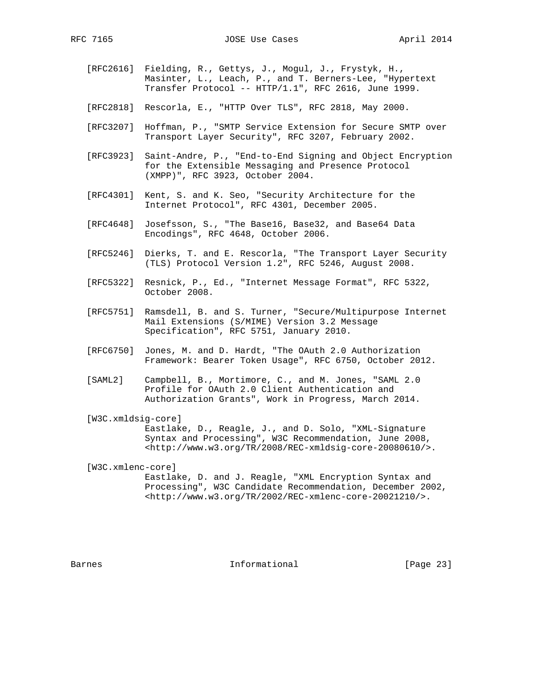- [RFC2616] Fielding, R., Gettys, J., Mogul, J., Frystyk, H., Masinter, L., Leach, P., and T. Berners-Lee, "Hypertext Transfer Protocol -- HTTP/1.1", RFC 2616, June 1999.
- [RFC2818] Rescorla, E., "HTTP Over TLS", RFC 2818, May 2000.
- [RFC3207] Hoffman, P., "SMTP Service Extension for Secure SMTP over Transport Layer Security", RFC 3207, February 2002.
- [RFC3923] Saint-Andre, P., "End-to-End Signing and Object Encryption for the Extensible Messaging and Presence Protocol (XMPP)", RFC 3923, October 2004.
- [RFC4301] Kent, S. and K. Seo, "Security Architecture for the Internet Protocol", RFC 4301, December 2005.
- [RFC4648] Josefsson, S., "The Base16, Base32, and Base64 Data Encodings", RFC 4648, October 2006.
- [RFC5246] Dierks, T. and E. Rescorla, "The Transport Layer Security (TLS) Protocol Version 1.2", RFC 5246, August 2008.
- [RFC5322] Resnick, P., Ed., "Internet Message Format", RFC 5322, October 2008.
- [RFC5751] Ramsdell, B. and S. Turner, "Secure/Multipurpose Internet Mail Extensions (S/MIME) Version 3.2 Message Specification", RFC 5751, January 2010.
- [RFC6750] Jones, M. and D. Hardt, "The OAuth 2.0 Authorization Framework: Bearer Token Usage", RFC 6750, October 2012.
- [SAML2] Campbell, B., Mortimore, C., and M. Jones, "SAML 2.0 Profile for OAuth 2.0 Client Authentication and Authorization Grants", Work in Progress, March 2014.
- [W3C.xmldsig-core] Eastlake, D., Reagle, J., and D. Solo, "XML-Signature Syntax and Processing", W3C Recommendation, June 2008,

 <http://www.w3.org/TR/2008/REC-xmldsig-core-20080610/>. [W3C.xmlenc-core]

 Eastlake, D. and J. Reagle, "XML Encryption Syntax and Processing", W3C Candidate Recommendation, December 2002, <http://www.w3.org/TR/2002/REC-xmlenc-core-20021210/>.

Barnes **Informational Informational** [Page 23]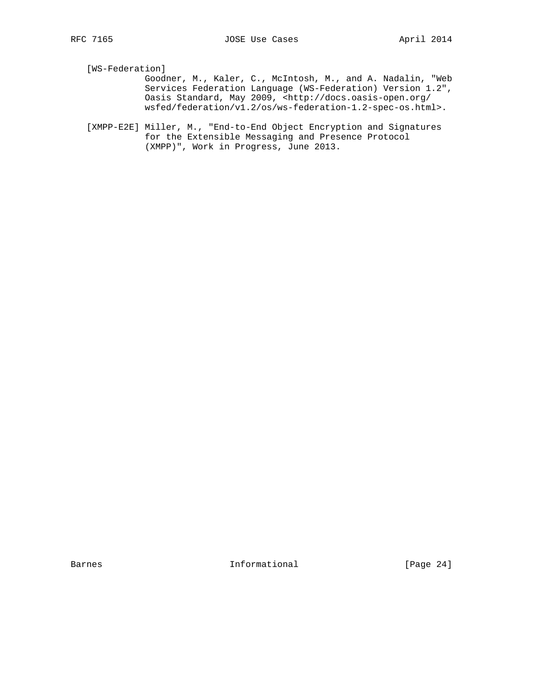[WS-Federation]

 Goodner, M., Kaler, C., McIntosh, M., and A. Nadalin, "Web Services Federation Language (WS-Federation) Version 1.2", Oasis Standard, May 2009, <http://docs.oasis-open.org/ wsfed/federation/v1.2/os/ws-federation-1.2-spec-os.html>.

 [XMPP-E2E] Miller, M., "End-to-End Object Encryption and Signatures for the Extensible Messaging and Presence Protocol (XMPP)", Work in Progress, June 2013.

Barnes 1nformational [Page 24]